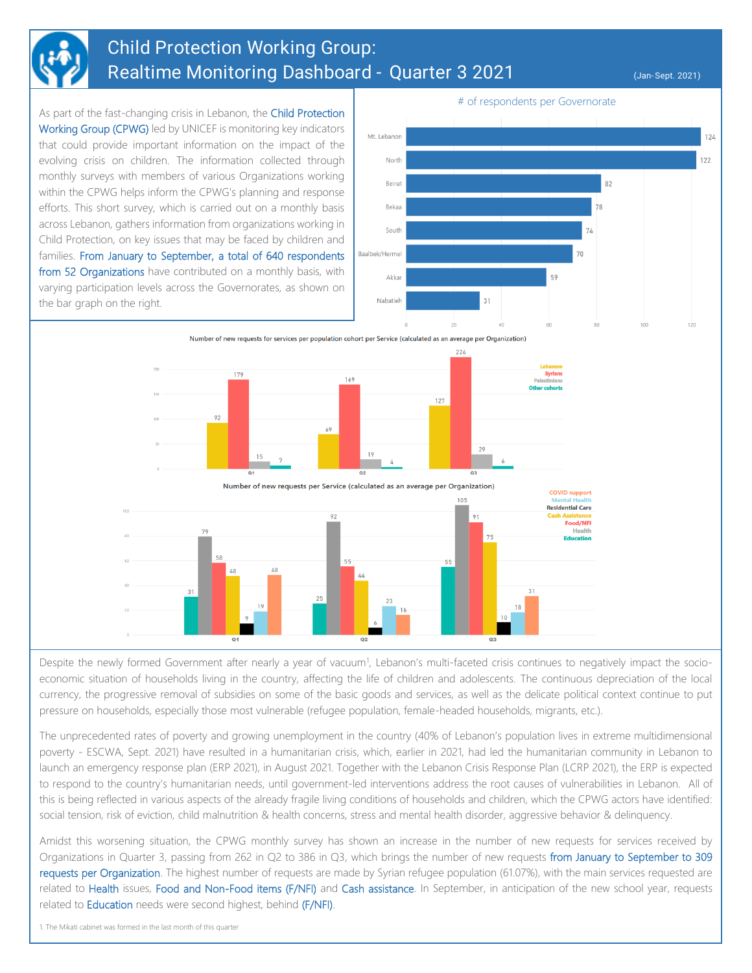

## Child Protection Working Group: Realtime Monitoring Dashboard - Quarter 3 2021 (Jan-Sept. 2021)

As part of the fast-changing crisis in Lebanon, the Child Protection Working Group (CPWG) led by UNICEF is monitoring key indicators that could provide important information on the impact of the evolving crisis on children. The information collected through monthly surveys with members of various Organizations working within the CPWG helps inform the CPWG's planning and response efforts. This short survey, which is carried out on a monthly basis across Lebanon, gathers information from organizations working in Child Protection, on key issues that may be faced by children and families. From January to September, a total of 640 respondents from 52 Organizations have contributed on a monthly basis, with varying participation levels across the Governorates, as shown on the bar graph on the right.



Number of new requests for services per population cohort per Service (calculated as an average per Organization)



Despite the newly formed Government after nearly a year of vacuum<sup>1</sup>, Lebanon's multi-faceted crisis continues to negatively impact the socioeconomic situation of households living in the country, affecting the life of children and adolescents. The continuous depreciation of the local currency, the progressive removal of subsidies on some of the basic goods and services, as well as the delicate political context continue to put pressure on households, especially those most vulnerable (refugee population, female-headed households, migrants, etc.).

The unprecedented rates of poverty and growing unemployment in the country (40% of Lebanon's population lives in extreme multidimensional poverty - ESCWA, Sept. 2021) have resulted in a humanitarian crisis, which, earlier in 2021, had led the humanitarian community in Lebanon to launch an emergency response plan (ERP 2021), in August 2021. Together with the Lebanon Crisis Response Plan (LCRP 2021), the ERP is expected to respond to the country's humanitarian needs, until government-led interventions address the root causes of vulnerabilities in Lebanon. All of this is being reflected in various aspects of the already fragile living conditions of households and children, which the CPWG actors have identified: social tension, risk of eviction, child malnutrition & health concerns, stress and mental health disorder, aggressive behavior & delinquency.

Amidst this worsening situation, the CPWG monthly survey has shown an increase in the number of new requests for services received by Organizations in Quarter 3, passing from 262 in Q2 to 386 in Q3, which brings the number of new requests from January to September to 309 requests per Organization. The highest number of requests are made by Syrian refugee population (61.07%), with the main services requested are related to Health issues, Food and Non-Food items (F/NFI) and Cash assistance. In September, in anticipation of the new school year, requests related to **Education** needs were second highest, behind (F/NFI).

1. The Mikati cabinet was formed in the last month of this quarter